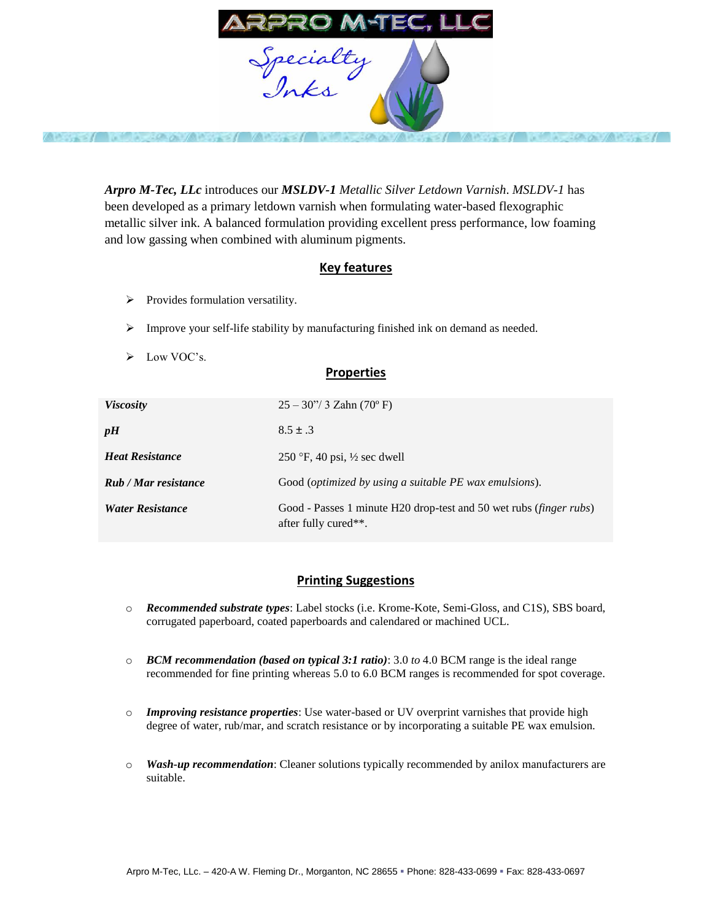

 $\sim$   $\sim$   $\sim$   $\sim$ 

*Arpro M-Tec, LLc* introduces our *MSLDV-1 Metallic Silver Letdown Varnish*. *MSLDV-1* has been developed as a primary letdown varnish when formulating water-based flexographic metallic silver ink. A balanced formulation providing excellent press performance, low foaming and low gassing when combined with aluminum pigments.

## **Key features**

- $\triangleright$  Provides formulation versatility.
- Improve your self-life stability by manufacturing finished ink on demand as needed.
- $\triangleright$  Low VOC's.

## **Properties**

| <i>Viscosity</i>        | $25 - 30$ "/ 3 Zahn (70° F)                                                                         |
|-------------------------|-----------------------------------------------------------------------------------------------------|
| pH                      | $8.5 \pm .3$                                                                                        |
| <b>Heat Resistance</b>  | 250 °F, 40 psi, $\frac{1}{2}$ sec dwell                                                             |
| Rub / Mar resistance    | Good ( <i>optimized by using a suitable PE wax emulsions</i> ).                                     |
| <b>Water Resistance</b> | Good - Passes 1 minute H20 drop-test and 50 wet rubs ( <i>finger rubs</i> )<br>after fully cured**. |

## **Printing Suggestions**

- o *Recommended substrate types*: Label stocks (i.e. Krome-Kote, Semi-Gloss, and C1S), SBS board, corrugated paperboard, coated paperboards and calendared or machined UCL.
- o *BCM recommendation (based on typical 3:1 ratio)*: 3.0 *to* 4.0 BCM range is the ideal range recommended for fine printing whereas 5.0 to 6.0 BCM ranges is recommended for spot coverage.
- o *Improving resistance properties*: Use water-based or UV overprint varnishes that provide high degree of water, rub/mar, and scratch resistance or by incorporating a suitable PE wax emulsion.
- o *Wash-up recommendation*: Cleaner solutions typically recommended by anilox manufacturers are suitable.